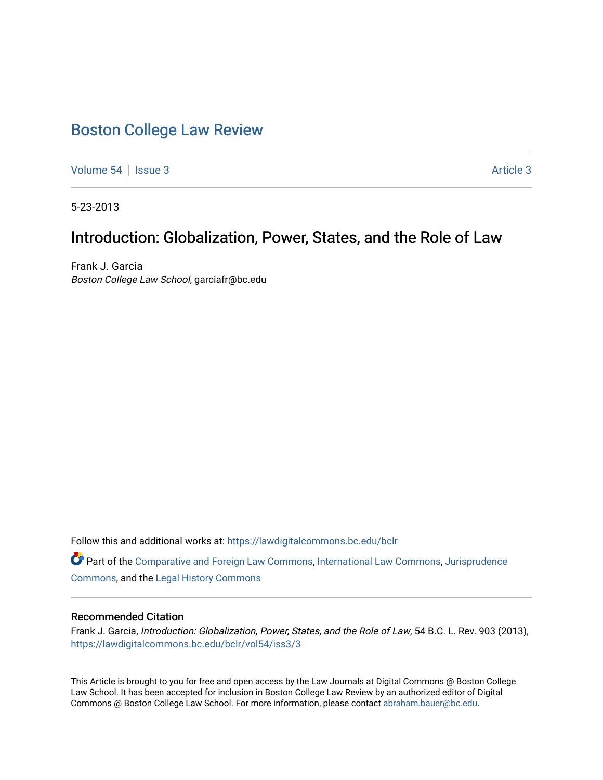# [Boston College Law Review](https://lawdigitalcommons.bc.edu/bclr)

[Volume 54](https://lawdigitalcommons.bc.edu/bclr/vol54) | [Issue 3](https://lawdigitalcommons.bc.edu/bclr/vol54/iss3) Article 3

5-23-2013

## Introduction: Globalization, Power, States, and the Role of Law

Frank J. Garcia Boston College Law School, garciafr@bc.edu

Follow this and additional works at: [https://lawdigitalcommons.bc.edu/bclr](https://lawdigitalcommons.bc.edu/bclr?utm_source=lawdigitalcommons.bc.edu%2Fbclr%2Fvol54%2Fiss3%2F3&utm_medium=PDF&utm_campaign=PDFCoverPages) 

Part of the [Comparative and Foreign Law Commons,](http://network.bepress.com/hgg/discipline/836?utm_source=lawdigitalcommons.bc.edu%2Fbclr%2Fvol54%2Fiss3%2F3&utm_medium=PDF&utm_campaign=PDFCoverPages) [International Law Commons,](http://network.bepress.com/hgg/discipline/609?utm_source=lawdigitalcommons.bc.edu%2Fbclr%2Fvol54%2Fiss3%2F3&utm_medium=PDF&utm_campaign=PDFCoverPages) [Jurisprudence](http://network.bepress.com/hgg/discipline/610?utm_source=lawdigitalcommons.bc.edu%2Fbclr%2Fvol54%2Fiss3%2F3&utm_medium=PDF&utm_campaign=PDFCoverPages)  [Commons](http://network.bepress.com/hgg/discipline/610?utm_source=lawdigitalcommons.bc.edu%2Fbclr%2Fvol54%2Fiss3%2F3&utm_medium=PDF&utm_campaign=PDFCoverPages), and the [Legal History Commons](http://network.bepress.com/hgg/discipline/904?utm_source=lawdigitalcommons.bc.edu%2Fbclr%2Fvol54%2Fiss3%2F3&utm_medium=PDF&utm_campaign=PDFCoverPages)

## Recommended Citation

Frank J. Garcia, Introduction: Globalization, Power, States, and the Role of Law, 54 B.C. L. Rev. 903 (2013), [https://lawdigitalcommons.bc.edu/bclr/vol54/iss3/3](https://lawdigitalcommons.bc.edu/bclr/vol54/iss3/3?utm_source=lawdigitalcommons.bc.edu%2Fbclr%2Fvol54%2Fiss3%2F3&utm_medium=PDF&utm_campaign=PDFCoverPages) 

This Article is brought to you for free and open access by the Law Journals at Digital Commons @ Boston College Law School. It has been accepted for inclusion in Boston College Law Review by an authorized editor of Digital Commons @ Boston College Law School. For more information, please contact [abraham.bauer@bc.edu.](mailto:abraham.bauer@bc.edu)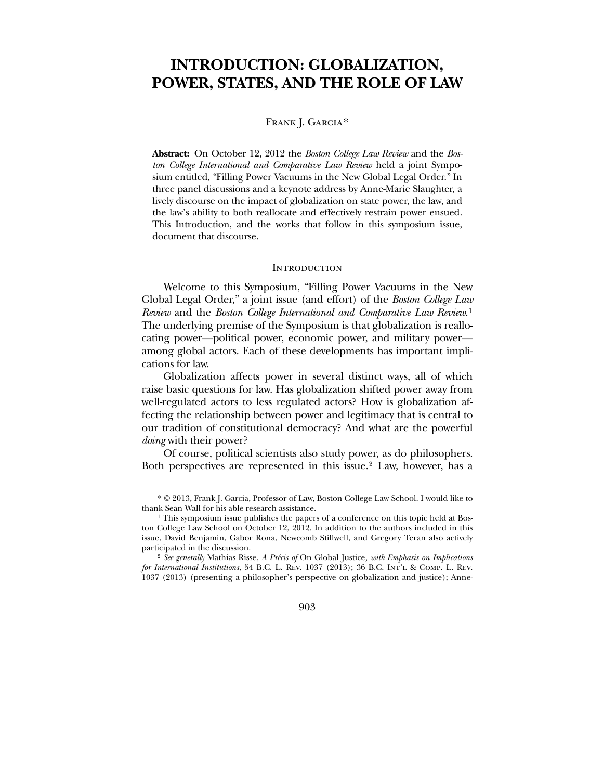## **INTRODUCTION: GLOBALIZATION, POWER, STATES, AND THE ROLE OF LAW**

## FRANK J. GARCIA<sup>[\\*](#page-1-0)</sup>

**Abstract:** On October 12, 2012 the *Boston College Law Review* and the *Boston College International and Comparative Law Review* held a joint Symposium entitled, "Filling Power Vacuums in the New Global Legal Order." In three panel discussions and a keynote address by Anne-Marie Slaughter, a lively discourse on the impact of globalization on state power, the law, and the law's ability to both reallocate and effectively restrain power ensued. This Introduction, and the works that follow in this symposium issue, document that discourse.

#### **INTRODUCTION**

 Welcome to this Symposium, "Filling Power Vacuums in the New Global Legal Order," a joint issue (and effort) of the *Boston College Law Review* and the *Boston College International and Comparative Law Review*.[1](#page-1-1) The underlying premise of the Symposium is that globalization is reallocating power—political power, economic power, and military power among global actors. Each of these developments has important implications for law.

 Globalization affects power in several distinct ways, all of which raise basic questions for law. Has globalization shifted power away from well-regulated actors to less regulated actors? How is globalization affecting the relationship between power and legitimacy that is central to our tradition of constitutional democracy? And what are the powerful *doing* with their power?

 Of course, political scientists also study power, as do philosophers. Both perspectives are represented in this issue.[2](#page-1-2) Law, however, has a

 $\overline{a}$ 

903

<sup>\*</sup> © 2013, Frank J. Garcia, Professor of Law, Boston College Law School. I would like to thank Sean Wall for his able research assistance.

<sup>&</sup>lt;sup>1</sup> This symposium issue publishes the papers of a conference on this topic held at Boston College Law School on October 12, 2012. In addition to the authors included in this issue, David Benjamin, Gabor Rona, Newcomb Stillwell, and Gregory Teran also actively participated in the discussion.

<span id="page-1-2"></span><span id="page-1-1"></span><span id="page-1-0"></span><sup>2</sup> *See generally* Mathias Risse, *A Précis of* On Global Justice*, with Emphasis on Implications for International Institutions*, 54 B.C. L. Rev. 1037 (2013); 36 B.C. Int'l & Comp. L. Rev. 1037 (2013) (presenting a philosopher's perspective on globalization and justice); Anne-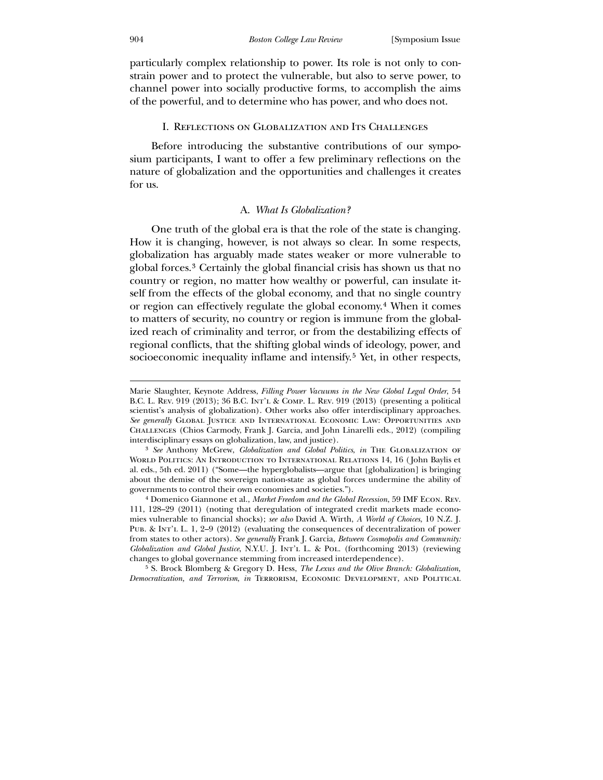particularly complex relationship to power. Its role is not only to constrain power and to protect the vulnerable, but also to serve power, to channel power into socially productive forms, to accomplish the aims of the powerful, and to determine who has power, and who does not.

## I. Reflections on Globalization and Its Challenges

 Before introducing the substantive contributions of our symposium participants, I want to offer a few preliminary reflections on the nature of globalization and the opportunities and challenges it creates for us.

#### A. *What Is Globalization?*

 One truth of the global era is that the role of the state is changing. How it is changing, however, is not always so clear. In some respects, globalization has arguably made states weaker or more vulnerable to global forces.[3](#page-2-0) Certainly the global financial crisis has shown us that no country or region, no matter how wealthy or powerful, can insulate itself from the effects of the global economy, and that no single country or region can effectively regulate the global economy.[4](#page-2-1) When it comes to matters of security, no country or region is immune from the globalized reach of criminality and terror, or from the destabilizing effects of regional conflicts, that the shifting global winds of ideology, power, and socioeconomic inequality inflame and intensify.<sup>[5](#page-2-2)</sup> Yet, in other respects,

Marie Slaughter, Keynote Address, *Filling Power Vacuums in the New Global Legal Order*, 54 B.C. L. Rev. 919 (2013); 36 B.C. Int'l & Comp. L. Rev. 919 (2013) (presenting a political scientist's analysis of globalization). Other works also offer interdisciplinary approaches. *See generally* Global Justice and International Economic Law: Opportunities and Challenges (Chios Carmody, Frank J. Garcia, and John Linarelli eds., 2012) (compiling interdisciplinary essays on globalization, law, and justice).

<sup>3</sup> *See* Anthony McGrew, *Globalization and Global Politics*, *in* The Globalization of World Politics: An Introduction to International Relations 14, 16 ( John Baylis et al. eds., 5th ed. 2011) ("Some—the hyperglobalists—argue that [globalization] is bringing about the demise of the sovereign nation-state as global forces undermine the ability of governments to control their own economies and societies.").

<sup>4</sup> Domenico Giannone et al., *Market Freedom and the Global Recession*, 59 IMF Econ. Rev. 111, 128–29 (2011) (noting that deregulation of integrated credit markets made economies vulnerable to financial shocks); *see also* David A. Wirth, *A World of Choices*, 10 N.Z. J. Pub. & Int'l L. 1, 2–9 (2012) (evaluating the consequences of decentralization of power from states to other actors). *See generally* Frank J. Garcia, *Between Cosmopolis and Community: Globalization and Global Justice*, N.Y.U. J. Int'l L. & Pol. (forthcoming 2013) (reviewing changes to global governance stemming from increased interdependence).

<span id="page-2-2"></span><span id="page-2-1"></span><span id="page-2-0"></span><sup>5</sup> S. Brock Blomberg & Gregory D. Hess, *The Lexus and the Olive Branch: Globalization, Democratization, and Terrorism*, *in* Terrorism, Economic Development, and Political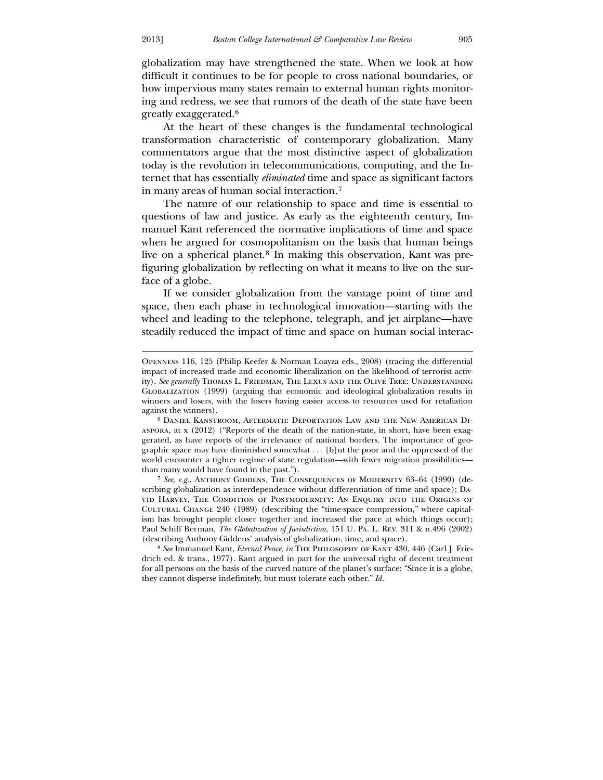$\overline{a}$ 

globalization may have strengthened the state. When we look at how difficult it continues to be for people to cross national boundaries, or how impervious many states remain to external human rights monitoring and redress, we see that rumors of the death of the state have been greatly exaggerated.[6](#page-3-0)

 At the heart of these changes is the fundamental technological transformation characteristic of contemporary globalization. Many commentators argue that the most distinctive aspect of globalization today is the revolution in telecommunications, computing, and the Internet that has essentially *eliminated* time and space as significant factors in many areas of human social interaction.[7](#page-3-1)

 The nature of our relationship to space and time is essential to questions of law and justice. As early as the eighteenth century, Immanuel Kant referenced the normative implications of time and space when he argued for cosmopolitanism on the basis that human beings live on a spherical planet.[8](#page-3-2) In making this observation, Kant was prefiguring globalization by reflecting on what it means to live on the surface of a globe.

 If we consider globalization from the vantage point of time and space, then each phase in technological innovation—starting with the wheel and leading to the telephone, telegraph, and jet airplane—have steadily reduced the impact of time and space on human social interac-

7 *See, e.g.*, Anthony Giddens, The Consequences of Modernity 63–64 (1990) (describing globalization as interdependence without differentiation of time and space); David Harvey, The Condition of Postmodernity: An Enquiry into the Origins of Cultural Change 240 (1989) (describing the "time-space compression," where capitalism has brought people closer together and increased the pace at which things occur); Paul Schiff Berman, *The Globalization of Jurisdiction*, 151 U. Pa. L. Rev. 311 & n.496 (2002) (describing Anthony Giddens' analysis of globalization, time, and space).

Openness 116, 125 (Philip Keefer & Norman Loayza eds., 2008) (tracing the differential impact of increased trade and economic liberalization on the likelihood of terrorist activity). *See generally* Thomas L. Friedman, The Lexus and the Olive Tree: Understanding Globalization (1999) (arguing that economic and ideological globalization results in winners and losers, with the losers having easier access to resources used for retaliation against the winners).

<sup>6</sup> Daniel Kanstroom, Aftermath: Deportation Law and the New American Diaspora, at x (2012) ("Reports of the death of the nation-state, in short, have been exaggerated, as have reports of the irrelevance of national borders. The importance of geographic space may have diminished somewhat . . . [b]ut the poor and the oppressed of the world encounter a tighter regime of state regulation—with fewer migration possibilities than many would have found in the past.").

<span id="page-3-2"></span><span id="page-3-1"></span><span id="page-3-0"></span><sup>8</sup> *See* Immanuel Kant, *Eternal Peace*, *in* The Philosophy of Kant 430, 446 (Carl J. Friedrich ed. & trans., 1977). Kant argued in part for the universal right of decent treatment for all persons on the basis of the curved nature of the planet's surface: "Since it is a globe, they cannot disperse indefinitely, but must tolerate each other." *Id.*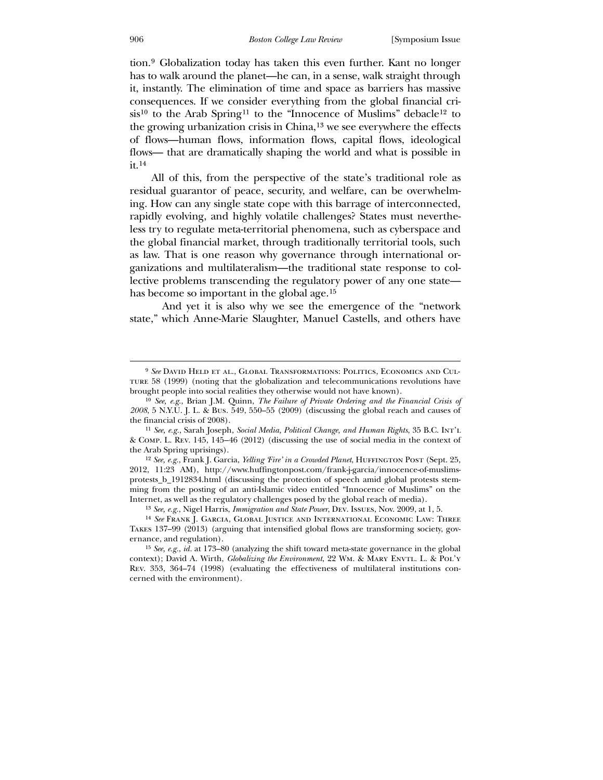tion.[9](#page-4-0) Globalization today has taken this even further. Kant no longer has to walk around the planet—he can, in a sense, walk straight through it, instantly. The elimination of time and space as barriers has massive consequences. If we consider everything from the global financial cri- $sis<sup>10</sup>$  $sis<sup>10</sup>$  $sis<sup>10</sup>$  to the Arab Spring<sup>[11](#page-4-2)</sup> to the "Innocence of Muslims" debacle<sup>[12](#page-4-3)</sup> to the growing urbanization crisis in China,[13](#page-4-4) we see everywhere the effects of flows—human flows, information flows, capital flows, ideological flows— that are dramatically shaping the world and what is possible in  $it.$ <sup>14</sup>

lective problems transcending the regulatory power of any one state— All of this, from the perspective of the state's traditional role as residual guarantor of peace, security, and welfare, can be overwhelming. How can any single state cope with this barrage of interconnected, rapidly evolving, and highly volatile challenges? States must nevertheless try to regulate meta-territorial phenomena, such as cyberspace and the global financial market, through traditionally territorial tools, such as law. That is one reason why governance through international organizations and multilateralism—the traditional state response to col-has become so important in the global age.<sup>[15](#page-5-0)</sup>

 And [yet it is also why we see the emergence of the "network](#page-5-0)  [state," which Anne-Marie Slaughter, Manuel Castells, and others have](#page-5-0) 

<sup>9</sup> *See* David Held et al., Global Transformations: Politics, Economics and Cultur e 58 (1999) (noting that the globalization and telecommunications revolutions have brought people into social realities they otherwise would not have known).

<sup>&</sup>lt;sup>10</sup> See, e.g., Brian J.M. Quinn, *The Failure of Private Ordering and the Financial Crisis of 200 8*, 5 N.Y.U. J. L. & Bus. 549, 550–55 (2009) (discussing the global reach and causes of the financial crisis of 2008).

*Social Media, Political Change, and Human Rights*, 35 B.C. Int'l 11 *See, e.g.*, Sarah Joseph, & C omp. L. Rev. 145, 145–46 (2012) (discussing the use of social media in the context of the Arab Spring uprisings).

protests\_b\_1912834.html (discussing the protection of speech amid global protests stemming from the posting of an anti-Islamic video entitled "Innocence of Muslims" on the Inte rnet, as well as the regulatory challenges posed by the global reach of media). <sup>12</sup> See, e.g., Frank J. Garcia, *Yelling 'Fire' in a Crowded Planet*, HUFFINGTON POST (Sept. 25, 2012, 11:23 AM), http://www.huffingtonpost.com/frank-j-garcia/innocence-of-muslims-

<sup>13</sup> *See, e.g.*, Nigel Harris, *Immigration and State Power*, Dev. Issues, Nov. 2009, at 1, 5.

<span id="page-4-1"></span><span id="page-4-0"></span><sup>&</sup>lt;sup>14</sup> See Frank J. Garcia, Global Justice and International Economic Law: Three Tak es 137–99 (2013) (arguing that intensified global flows are transforming society, governance, and regulation).

<span id="page-4-4"></span><span id="page-4-3"></span><span id="page-4-2"></span>context); David A. Wirth, *Globalizing the Environment*, 22 Wm. & MARY ENVTL. L. & POL'Y Rev . 353, 364–74 (1998) (evaluating the effectiveness of multilateral institutions con-15 *See, e.g.*, *id.* at 173–80 (analyzing the shift toward meta-state governance in the global cerned with the environment).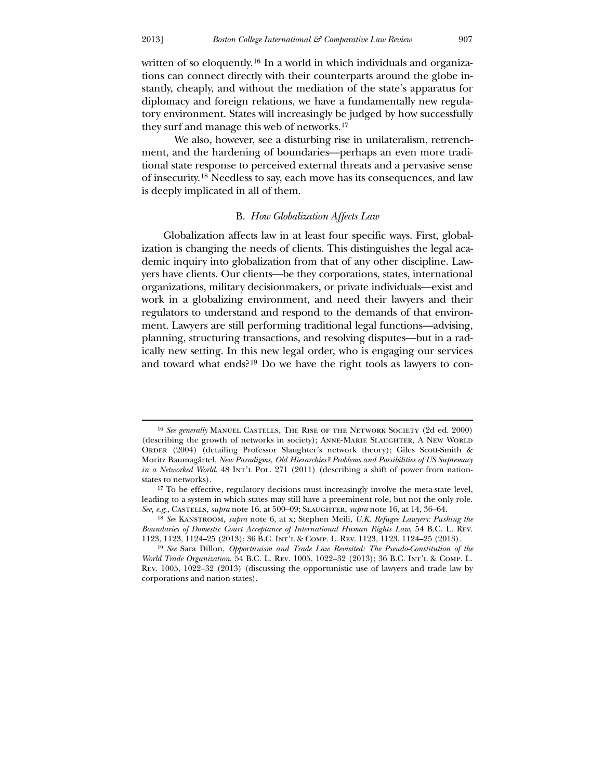-

[written of so eloquently.](#page-5-0)<sup>16</sup> [In a world in which individuals and organiza](#page-5-1)[tions can connect directly with their counterparts around the globe in](#page-5-1)[stantly, cheaply, and without the mediation of the state's apparatus for](#page-5-1)  [diplomacy and foreign relations, we have a fundamentally new regula](#page-5-1)[tory environment. States will increasingly be ju](#page-5-1)dged by how successfully they surf and manage this web of networks.<sup>[17](#page-5-2)</sup>

of insecurity.<sup>18</sup> [Needless to say, each](#page-5-2) move has its consequences, and law is deeply implicated in all of them.  [We also, however, see a disturbing rise in unilateralism, retrench](#page-5-2)[ment, and the hardening of boundaries—perhaps an even more tradi](#page-5-2)[tional state response to perceived external threats and a pervasive sense](#page-5-2) 

## B. *How Globalization Affects Law*

 Globalization affects law in at least four specific ways. First, globalization is changing the needs of clients. This distinguishes the legal academic inquiry into globalization from that of any other discipline. Lawyers have clients. Our clients—be they corporations, states, international organizations, military decisionmakers, or private individuals—exist and work in a globalizing environment, and need their lawyers and their regulators to understand and respond to the demands of that environment. Lawyers are still performing traditional legal functions—advising, planning, structuring transactions, and resolving disputes—but in a radically new setting. In this new legal order, who is engaging our services and toward what ends?[19](#page-5-3) Do we have the right tools as lawyers to con-

<sup>&</sup>lt;sup>16</sup> See generally MANUEL CASTELLS, THE RISE OF THE NETWORK SOCIETY (2d ed. 2000) (describing the growth of networks in society); ANNE-MARIE SLAUGHTER, A NEW WORLD *emacy*  Moritz Baumagärtel, *New Paradigms, Old Hierarchies? Problems and Possibilities of US Supr in a Networked World*, 48 Int'l Pol. 271 (2011) (describing a shift of power from nation-ORDER (2004) (detailing Professor Slaughter's network theory); Giles Scott-Smith & states to networks).

 $17$  To be effective, regulatory decisions must increasingly involve the meta-state level, lead ing to a system in which states may still have a preeminent role, but not the only role. *See, e.g.*, Castells, *supra* note 16, at 500–09; Slaughter, *supra* note 16, at 14, 36–64.

*International Human Rights Law*, 54 B.C. L. Rev. *Boundaries of Domestic Court Acceptance of*  1123 , 1123, 1124–25 (2013); 36 B.C. Int'l & Comp. L. Rev. 1123, 1123, 1124–25 (2013). 18 *See* Kanstroom, *supra* note 6, at x; Stephen Meili, *U.K. Refugee Lawyers: Pushing the* 

<span id="page-5-3"></span><span id="page-5-2"></span><span id="page-5-1"></span><span id="page-5-0"></span><sup>19</sup> *See* Sara Dillon, *Opportunism and Trade Law Revisited: The Pseudo-Constitution of the World Trade Organization*, 54 B.C. L. Rev. 1005, 1022–32 (2013); 36 B.C. Int'l & Comp. L. Rev. 1005, 1022–32 (2013) (discussing the opportunistic use of lawyers and trade law by corporations and nation-states).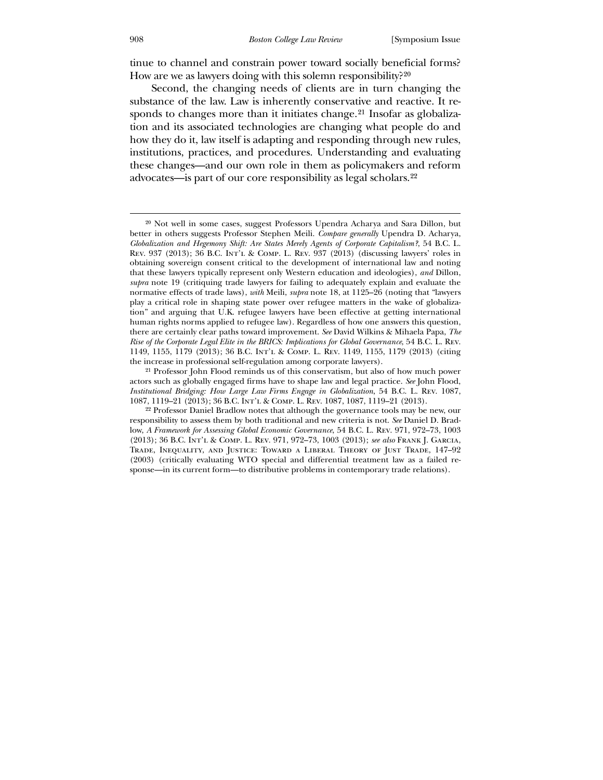tinue to channel and constrain power toward socially beneficial forms? How are we as lawyers doing with this solemn responsibility?<sup>[20](#page-6-0)</sup>

[institutions, practices, and procedures. Understanding and ev](#page-6-1)aluating  [Second, the changing needs of clients are in turn changing the](#page-6-0)  [substance of the law. Law is inherently conservative and reactive. It re](#page-6-0)[sponds to changes more than it initiates change.](#page-6-0)<sup>21</sup> [Insofar as globaliza](#page-6-1)[tion and its associated technologies are changing what people do and](#page-6-1)  [how they do it, law itself is adapting and responding through new rules,](#page-6-1)  these changes—and our own role in them as policymakers and reform advocates—is part of our core responsibility as legal scholars.[22](#page-7-0)

<sup>21</sup> Professor John Flood reminds us of this conservatism, but also of how much power acto rs such as globally engaged firms have to shape law and legal practice. *See* John Flood, *Institutional Bridging: How Large Law Firms Engage in Globalization*, 54 B.C. L. Rev. 1087, 1087, 1119–21 (2013); 36 B.C. Int'l & Comp. L. Rev. 1087, 1087, 1119–21 (2013).

<sup>20</sup> [Not well in some cases, suggest Professors Upendra Acharya and Sara Dillon, but](#page-7-0)  better in others suggests Professor Stephen Meili. *Compare generally* Upendra D. Acharya, there are certainly clear paths toward improvement. See David Wilkins & Mihaela Papa, The *Rise of the Corporate Legal Elite in the BRICS: Implications for Global Governance*, 54 B.C. L. Rev. *Globalization and Hegemony Shift: Are States Merely Agents of Corporate Capitalism?*, 54 B.C. L. Rev. 937 (2013); 36 B.C. Int'l & Comp. L. Rev. 937 (2013) (discussing lawyers' roles in obtaining sovereign consent critical to the development of international law and noting that these lawyers typically represent only Western education and ideologies), *and* Dillon, *supra* note 19 (critiquing trade lawyers for failing to adequately explain and evaluate the normative effects of trade laws), *with* Meili, *supra* note 18, at 1125–26 (noting that "lawyers play a critical role in shaping state power over refugee matters in the wake of globalization" and arguing that U.K. refugee lawyers have been effective at getting international human rights norms applied to refugee law). Regardless of how one answers this question, 1149, 1155, 1179 (2013); 36 B.C. Int'l & Comp. L. Rev. 1149, 1155, 1179 (2013) (citing the increase in professional self-regulation among corporate lawyers).

<span id="page-6-1"></span><span id="page-6-0"></span><sup>,</sup>  (2013); 36 B.C. Int'l & Comp. L. Rev. 971, 972–73, 1003 (2013); *see also* Frank J. Garcia Tra de, Inequality, and Justice: Toward a Liberal Theory of Just Trade, 147–92 22 Professor Daniel Bradlow notes that although the governance tools may be new, our responsibility to assess them by both traditional and new criteria is not. *See* Daniel D. Bradlow, *A Framework for Assessing Global Economic Governance*, 54 B.C. L. Rev. 971, 972–73, 1003 (2003) (critically evaluating WTO special and differential treatment law as a failed response—in its current form—to distributive problems in contemporary trade relations).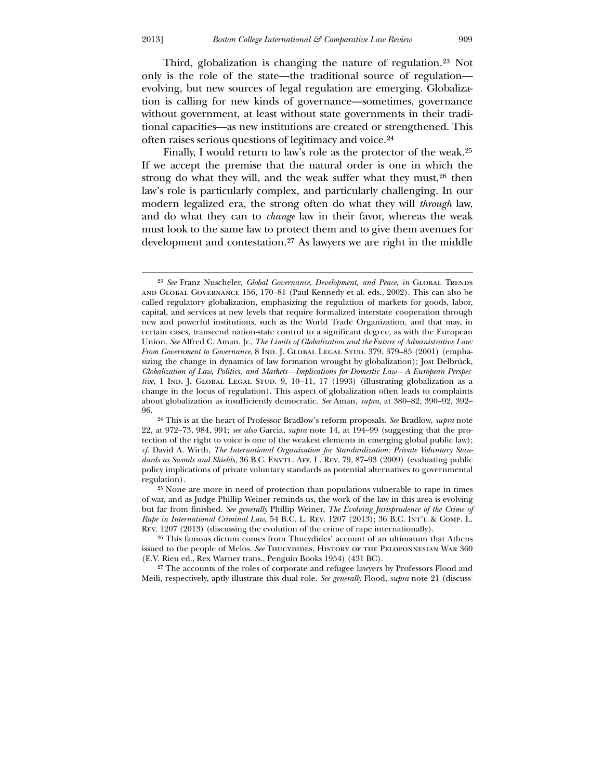[Third, globalization is changing the nature of regulation.](#page-7-0)23 [Not](#page-7-1)  [only is the role of the state—the traditional source o](#page-7-1)f regulation evolving, but new sources of legal regulation are emerging. Globalization is calling for new kinds of governance—sometimes, governance without government, at least without state governments in their traditional capacities—as new institutions are created or strengthened. This often raises serious questions of legitimacy and voice.[24](#page-7-2)

[must look to the same law to protect them and to](#page-7-4) give them avenues for development and contestation.27 As lawyers we are right in the middle Finally, I would return to law's role as the protector of the weak.<sup>25</sup> [If we accept the premise that the natural order is one in which the](#page-7-3)  [strong do what they will, and the weak suffer what they must,](#page-7-3) $26$  then [law's role is particularly complex, and particularly challenging. In our](#page-7-4)  [modern legalized era, the strong often do what they will](#page-7-4) *through* law, and do what they can to *change* [law in their favor, whereas the weak](#page-7-4) 

-

<sup>&</sup>lt;sup>23</sup> See Franz Nuscheler, *Global Governance, Development, and Peace, in GLOBAL TRENDS* and Global Governance 156, 170–81 (Paul Kennedy et al. eds., 2002). This can also be called regulatory globalization, emphasizing the regulation of markets for goods, labor, capital, and services at new levels that require formalized interstate cooperation through new and powerful institutions, such as the World Trade Organization, and that may, in certain cases, transcend nation-state control to a significant degree, as with the European Union. *See* Alfred C. Aman, Jr., *The Limits of Globalization and the Future of Administrative Law: From Government to Governance*, 8 IND. J. GLOBAL LEGAL STUD. 379, 379-85 (2001) (emphasizing the change in dynamics of law formation wrought by globalization); Jost Delbrück, *Globalization of Law, Politics, and Markets—Implications for Domestic Law—A European Perspective*, 1 IND. J. GLOBAL LEGAL STUD. 9, 10–11, 17 (1993) (illustrating globalization as a change in the locus of regulation). This aspect of globalization often leads to complaints about globalization as insufficiently democratic. *See* Aman, *supra*, at 380–82, 390–92, 392– 96.

<span id="page-7-0"></span><sup>24</sup> This is at the heart of Professor Bradlow's reform proposals. *See* Bradlow, *supra* note 22, at 972–73, 984, 991; *see also* Garcia, *supra* note 14, at 194–99 (suggesting that the protect ion of the right to voice is one of the weakest elements in emerging global public law); dards as Swords and Shields, 36 B.C. ENVTL. AFF. L. REV. 79, 87-93 (2009) (evaluating public poli cy implications of private voluntary standards as potential alternatives to governmental *cf.* David A. Wirth, *The International Organization for Standardization: Private Voluntary Stan*regulation).

of war, and as Judge Phillip Weiner reminds us, the work of the law in this area is evolving but far from finished. *See generally* Phillip Weiner, *The Evolving Jurisprudence of the Crime of*  Rev. 1207 (2013) (discussing the evolution of the crime of rape internationally). 25 None are more in need of protection than populations vulnerable to rape in times *Rape in International Criminal Law*, 54 B.C. L. Rev. 1207 (2013); 36 B.C. Int'l & Comp. L.

<sup>26</sup> This famous dictum comes from Thucydides' account of an ultimatum that Athens issued to the people of Melos. See Thucydides, History of the Peloponnesian War 360 (E.V. Rieu ed., Rex Warner trans., Penguin Books 1954) (431 BC).

<span id="page-7-4"></span><span id="page-7-3"></span><span id="page-7-2"></span><span id="page-7-1"></span>Meili, respectively, aptly illustrate this dual role. See generally Flood, supra note 21 (discuss-<sup>27</sup> The accounts of the roles of corporate and refugee lawyers by Professors Flood and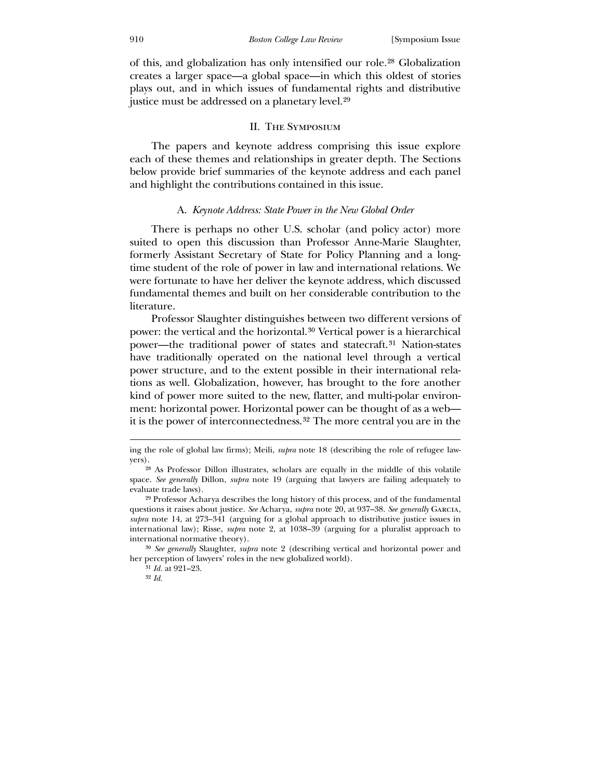of this, and globalization has only intensified our role.28 Globalization creates a larger space—a global space—in which this oldest of stories plays out, and in which issues of fundamental rights and distributive justice must be addressed on a planetary level.29

## II. The Symposium

 The papers and keynote address comprising this issue explore each of these themes and relationships in greater depth. The Sections below provide brief summaries of the keynote address and each panel and highlight the contributions contained in this issue.

#### A. *Keynote Address: State Power in the New Global Order*

 There is perhaps no other U.S. scholar (and policy actor) more suited to open this discussion than Professor Anne-Marie Slaughter, formerly Assistant Secretary of State for Policy Planning and a longtime student of the role of power in law and international relations. We were fortunate to have her deliver the keynote address, which discussed fundamental themes and built on her considerable contribution to the literature.

 Professor Slaughter distinguishes between two different versions of power: the vertical and the horizontal.[30](#page-8-0) Vertical power is a hierarchical power—the traditional power of states and statecraft.[31](#page-8-1) Nation-states have traditionally operated on the national level through a vertical power structure, and to the extent possible in their international relations as well. Globalization, however, has brought to the fore another kind of power more suited to the new, flatter, and multi-polar environment: horizontal power. Horizontal power can be thought of as a web it is the power of interconnectedness.[32](#page-9-0) The more central you are in the

*generally* Slaughter, *supra* note 2 (describing vertical and horizontal power and 30 *See*  her perception of lawyers' roles in the new globalized world).

31 *Id.* at 921–23.

<span id="page-8-1"></span><span id="page-8-0"></span>32 *Id.*

ing the role of global law firms); Meili, *supra* note 18 (describing the role of refugee lawyers).

<sup>28</sup> As Professor Dillon illustrates, scholars are equally in the middle of this volatile space. *See generally* Dillon, *supra* note 19 (arguing that lawyers are failing adequately to evaluate trade laws).

<sup>29</sup> Professor Acharya describes the long history of this process, and of the fundamental que stions it raises about justice. *See* Acharya, *supra* note 20, at 937–38. *See generally* Garcia, supra note 14, at 273–341 (arguing for a global approach to distributive justice issues in international law); Risse, *supra* note 2, at 1038–39 (arguing for a pluralist approach to international normative theory).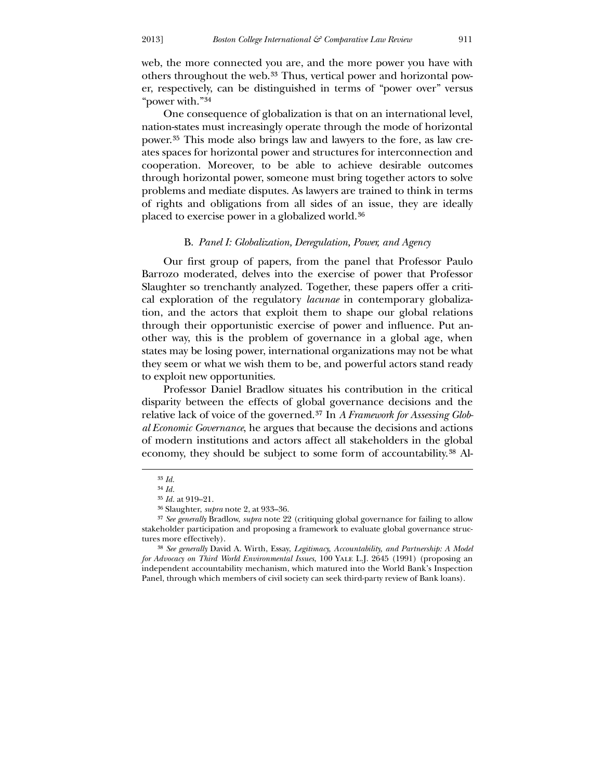web, the more connected you are, and the more power you have with others throughout the web.<sup>33</sup> Thus, vertical power and horizontal power, respectively, can be distinguished in terms of "power over" versus "power with."34

 One consequence of globalization is that on an international level, nation-states must increasingly operate through the mode of horizontal power.35 This mode also brings law and lawyers to the fore, as law creates spaces for horizontal power and structures for interconnection and cooperation. Moreover, to be able to achieve desirable outcomes through horizontal power, someone must bring together actors to solve problems and mediate disputes. As lawyers are trained to think in terms of rights and obligations from all sides of an issue, they are ideally placed to exercise power in a globalized world.[36](#page-9-1)

## B. *[Panel I: Globalization, Deregulation, Power, and Agency](#page-9-1)*

 [Our first group of papers, from the panel that Professor Paulo](#page-9-1)  [Barrozo moderated, delves into the exercise of power that Professor](#page-9-1)  [Slaughter so trenchantly analyzed. Together, these papers offer a criti](#page-9-1)[cal exploration of the regulatory](#page-9-1) *lacunae* in contemporary globaliza[tion, and the actors that exploit them to shape our global relations](#page-9-1)  [through their opportunistic exercise of power and influence. Put an](#page-9-1)[other way, this is the problem of governance in a global age, when](#page-9-1)  [states may be losing power, international organizations may not be what](#page-9-1)  [they seem or what we wish them to be, and powerful actors stand ready](#page-9-1)  [to exploit new opportunities.](#page-9-1) 

[of mo](#page-9-2)dern institutions and actors affect all stakeholders in the global economy, they should be subject to some form of accountability.<sup>[38](#page-10-0)</sup> Al- [Professor Daniel Bradlow situates his contribution in the critical](#page-9-1)  [disparity between the effects of global governance decisions and the](#page-9-1)  [relative lack of voice of the governed.](#page-9-1)37 In *[A Framework for Assessing Glob](#page-9-2)al Economic Governance*[, he argues that because the decisions and actions](#page-9-2) 

<sup>33</sup> *Id.*

<sup>34</sup> *Id.*

<sup>35</sup> *Id.* at 919–21.

<sup>36</sup> Slaughter, *supra* note 2, at 933–36.

stakeholder participation and proposing a framework to evaluate global governance structure s more effectively). 37 *See generally* Bradlow, *supra* note 22 (critiquing global governance for failing to allow

<span id="page-9-2"></span><span id="page-9-1"></span><span id="page-9-0"></span>Panel, through which members of civil society can seek third-party review of Bank loans). 38 *See generally* David A. Wirth, Essay, *Legitimacy, Accountability, and Partnership: A Model for Advocacy on Third World Environmental Issues*, 100 Yale L.J. 2645 (1991) (proposing an independent accountability mechanism, which matured into the World Bank's Inspection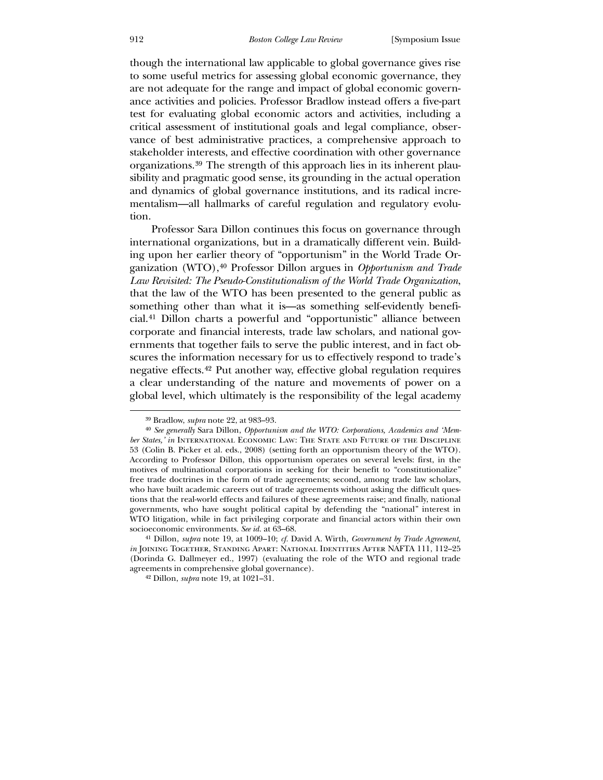though the international law applicable to global governance gives rise to some useful metrics for assessing global economic governance, they are not adequate for the range and impact of global economic governance activities and policies. Professor Bradlow instead offers a five-part test for evaluating global economic actors and activities, including a critical assessment of institutional goals and legal compliance, observance of best administrative practices, a comprehensive approach to stakeholder interests, and effective coordination with other governance organizations.[39](#page-10-1) The strength of this approach lies in its inherent plausibility and pragmatic good sense, its grounding in the actual operation and dynamics of global governance institutions, and its radical incrementalism—all hallmarks of careful regulation and regulatory evolution.

 Professor Sara Dillon continues this focus on governance through scures the information necessary for us to effectively respond to trade's negative effects.42 Put another way, effective global regulation requires a c lear understanding of the nature and movements of power on a international organizations, but in a dramatically different vein. Building upon her earlier theory of "opportunism" in the World Trade Organization (WTO),[40](#page-11-0) Professor Dillon argues in *Opportunism and Trade Law Revisited: The Pseudo-Constitutionalism of the World Trade Organization*, that the law of the WTO has been presented to the general public as something other than what it is—as something self-evidently beneficial.[41](#page-11-1) Dillon charts a powerful and "opportunistic" alliance between corporate and financial interests, trade law scholars, and national governments that together fails to serve the public interest, and in fact obglobal level, which ultimately is the responsibility of the legal academy

<sup>39</sup> Bradlow, *supra* note 22, at 983–93.

<sup>40</sup> *See generally* Sara Dillon, *Opportunism and the WTO: Corporations, Academics and 'Member States,' in* International Economic Law: The State and Future of the Discipline 53 (Colin B. Picker et al. eds., 2008) (setting forth an opportunism theory of the WTO). According to Professor Dillon, this opportunism operates on several levels: first, in the motives of multinational corporations in seeking for their benefit to "constitutionalize" free trade doctrines in the form of trade agreements; second, among trade law scholars, who have built academic careers out of trade agreements without asking the difficult ques-WTO litigation, while in fact privileging corporate and financial actors within their own socioeconomic environments. See id. at 63-68. tions that the real-world effects and failures of these agreements raise; and finally, national governments, who have sought political capital by defending the "national" interest in

<span id="page-10-0"></span><sup>&</sup>lt;sup>41</sup> Dillon, *supra* note 19, at 1009–10; *cf.* David A. Wirth, *Government by Trade Agreement*, *in* Joining Together, Standing Apart: National Identities After NAFTA 111, 112–25 (Do rinda G. Dallmeyer ed., 1997) (evaluating the role of the WTO and regional trade agreements in comprehensive global governance).

<span id="page-10-1"></span><sup>&</sup>lt;sup>42</sup> Dillon, *supra* note 19, at 1021–31.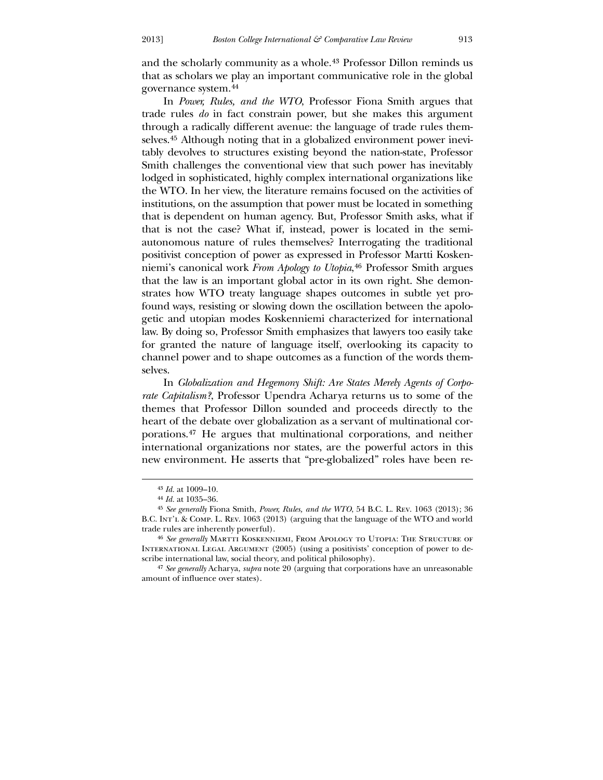and the scholarly community as a whole.<sup>[43](#page-11-1)</sup> Professor Dillon reminds us that as scholars we play an important communicative role in the global governance system.[44](#page-11-1)

 In *Power, Rules, and the WTO*[, Professor Fiona Smith argues that](#page-11-1)  trade rules *do* [in fact constrain power, but she makes this argument](#page-11-1)  [through a radically different avenue: the language of trade rules them](#page-11-1)selves.45 [Although noting that in a globalized environment power inevi](#page-11-1)[tably devolves to structures existing beyond the nation-state, Professor](#page-11-1)  [Smith challenges the conventional view that such power has inevitably](#page-11-1)  [lodged in sophisticated, highly complex international organizations like](#page-11-1)  [the WTO. In her view, the literature remains focused on the activities of](#page-11-1)  [institutions, on the assumption that power must be located in something](#page-11-1)  [that is de](#page-11-1)pendent on human agency. But, Professor Smith asks, what if that is not the case? What if, instead, power is located in the semiautonomous nature of rules themselves? Interrogating the traditional positivist conception of power as expressed in Professor Martti Koskenniemi's canonical work *From Apology to Utopia*,[46](#page-11-2) Professor Smith argues that the law is an important global actor in its own right. She demonstrates how WTO treaty language shapes outcomes in subtle yet profound ways, resisting or slowing down the oscillation between the apologetic and utopian modes Koskenniemi characterized for international law. By doing so, Professor Smith emphasizes that lawyers too easily take for granted the nature of language itself, overlooking its capacity to channel power and to shape outcomes as a function of the words themselves.

 In *Globalization and Hegemony Shift: Are States Merely Agents of Corporate Capitalism?*, Professor Upendra Acharya returns us to some of the themes that Professor Dillon sounded and proceeds directly to the heart of the debate over globalization as a servant of multinational corporations.[47](#page-12-0) He argues that multinational corporations, and neither international organizations nor states, are the powerful actors in this new environment. He asserts that "pre-globalized" roles have been re-

-

*Id.* at 1009–10. 43

<sup>44</sup> *Id.* at 1035–36.

<sup>45</sup> *See generally* Fiona Smith, *Power, Rules, and the WTO*, 54 B.C. L. Rev. 1063 (2013); 36 B.C. Int'l & Comp. L. Rev. 1063 (2013) (arguing that the language of the WTO and world trad e rules are inherently powerful).

INTERNATIONAL LEGAL ARGUMENT (2005) (using a positivists' conception of power to describ e international law, social theory, and political philosophy). 46 *See generally* Martti Koskenniemi, From Apology to Utopia: The Structure of

<span id="page-11-2"></span><span id="page-11-1"></span><span id="page-11-0"></span><sup>&</sup>lt;sup>47</sup> See generally Acharya, *supra* note 20 (arguing that corporations have an unreasonable amount of influence over states).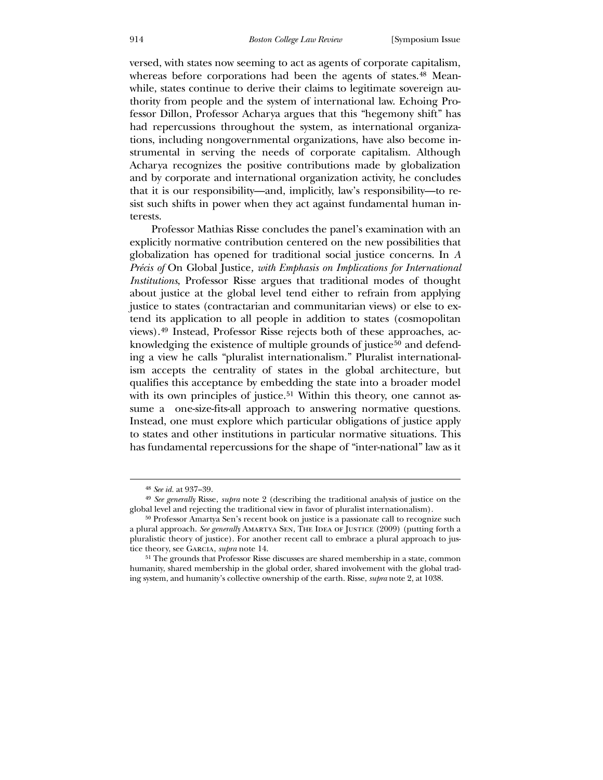versed, with states now seeming to act as agents of corporate capitalism, whereas before corporations had been the agents of states.<sup>[48](#page-12-1)</sup> Meanwhile, states continue to derive their claims to legitimate sovereign authority from people and the system of international law. Echoing Professor Dillon, Professor Acharya argues that this "hegemony shift" has had repercussions throughout the system, as international organizations, including nongovernmental organizations, have also become instrumental in serving the needs of corporate capitalism. Although Acharya recognizes the positive contributions made by globalization and by corporate and international organization activity, he concludes that it is our responsibility—and, implicitly, law's responsibility—to resist such shifts in power when they act against fundamental human interests.

 Professor Mathias Risse concludes the panel's examination with an explicitly normative contribution centered on the new possibilities that globalization has opened for traditional social justice concerns. In *A Précis of* On Global Justice*, with Emphasis on Implications for International Institutions*, Professor Risse argues that traditional modes of thought sume a one-size-fits-all approach to answering normative questions. Instead, one must explore which particular obligations of justice apply to states and other institutions in particular normative situations. This has fundamental repercussions for the shape of "inter-national" law as it about justice at the global level tend either to refrain from applying justice to states (contractarian and communitarian views) or else to extend its application to all people in addition to states (cosmopolitan views).[49](#page-13-0) Instead, Professor Risse rejects both of these approaches, ac-knowledging the existence of multiple grounds of justice<sup>[50](#page-13-0)</sup> and defending a view he calls "pluralist internationalism." Pluralist internationalism accepts the centrality of states in the global architecture, but qualifies this acceptance by embedding the state into a broader model with its own principles of justice.<sup>[51](#page-13-0)</sup> Within this theory, one cannot as-

<sup>48</sup> *See id.* at 937–39.

<sup>&</sup>lt;sup>49</sup> *See generally* Risse, *supra* note 2 (describing the traditional analysis of justice on the glob al level and rejecting the traditional view in favor of pluralist internationalism).

pluralistic theory of justice). For another recent call to embrace a plural approach to justice theory, see Garcia, *supra* note 14. 50 Professor Amartya Sen's recent book on justice is a passionate call to recognize such a plural approach. See generally AMARTYA SEN, THE IDEA OF JUSTICE (2009) (putting forth a

<span id="page-12-1"></span><span id="page-12-0"></span>humanity, shared membership in the global order, shared involvement with the global trading system, and humanity's collective ownership of the earth. Risse, *supra* note 2, at 1038. 51 The grounds that Professor Risse discusses are shared membership in a state, common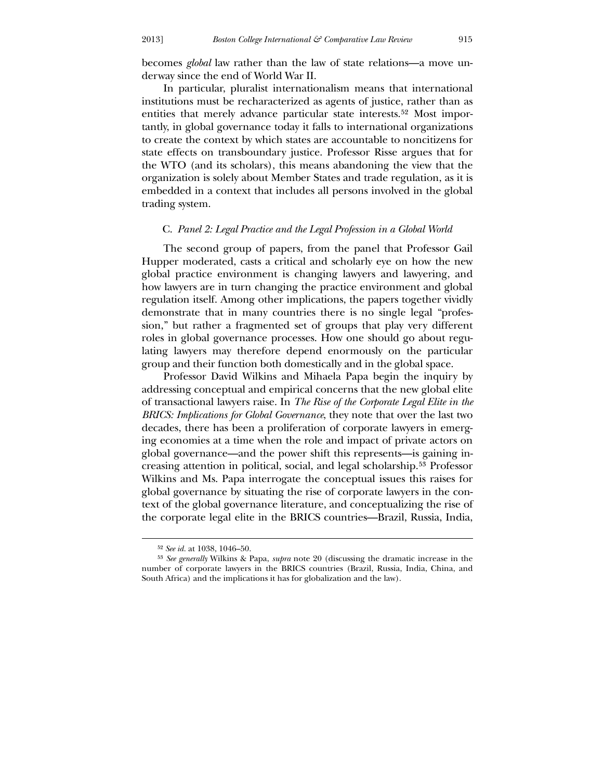becomes *global* law rather than the law of state relations—a move underway since the end of World War II.

 In particular, pluralist internationalism means that international institutions must be recharacterized as agents of justice, rather than as entities that merely advance particular state interests.52 Most importantly, in global governance today it falls to international organizations to create the context by which states are accountable to noncitizens for state effects on transboundary justice. Professor Risse argues that for the WTO (and its scholars), this means abandoning the view that the organization is solely about Member States and trade regulation, as it is embedded in a context that includes all persons involved in the global trading system.

## C. *Panel 2: Legal Practice and the Legal Profession in a Global World*

 The second group of papers, from the panel that Professor Gail Hupper moderated, casts a critical and scholarly eye on how the new global practice environment is changing lawyers and lawyering, and how lawyers are in turn changing the practice environment and global regulation itself. Among other implications, the papers together vividly demonstrate that in many countries there is no single legal "profession," but rather a fragmented set of groups that play very different roles in global governance processes. How one should go about regulating lawyers may therefore depend enormously on the particular group and their function both domestically and in the global space.

of transactional lawyers raise. In *The Rise of the Corporate Legal Elite in the BRICS: Implications for Global Governance*, they note that over the last two global governance by situating the rise of corporate lawyers in the context of the global governance literature, and conceptualizing the rise of the corporate legal elite in the BRICS countries—Brazil, Russia, India, Professor David Wilkins and Mihaela Papa begin the inquiry by addressing conceptual and empirical concerns that the new global elite decades, there has been a proliferation of corporate lawyers in emerging economies at a time when the role and impact of private actors on global governance—and the power shift this represents—is gaining increasing attention in political, social, and legal scholarship.[53](#page-14-0) Professor Wilkins and Ms. Papa interrogate the conceptual issues this raises for

 $\overline{a}$ 

<sup>52</sup> *See id.* at 1038, 1046–50.

<span id="page-13-0"></span><sup>53</sup> *See generally* Wilkins & Papa, *supra* note 20 (discussing the dramatic increase in the number of corporate lawyers in the BRICS countries (Brazil, Russia, India, China, and South Africa) and the implications it has for globalization and the law).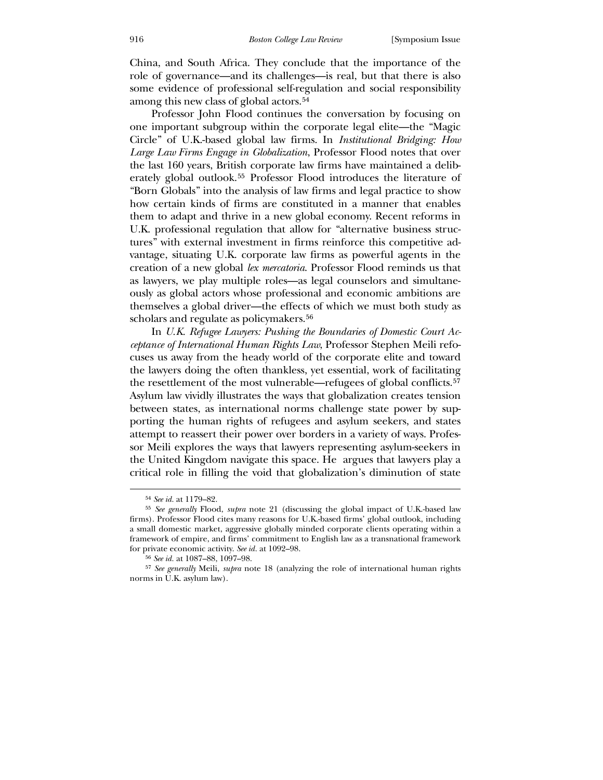China, and South Africa. They conclude that the importance of the role of governance—and its challenges—is real, but that there is also some evidence of professional self-regulation and social responsibility among this new class of global actors.<sup>[54](#page-14-1)</sup>

 [Professor John Flood continues the conversation by focusing on](#page-14-1)  [one important subgroup within the corporate legal elite—the "Magic](#page-14-1)  [Circle" of U.K.-based global law firms. In](#page-14-1) *Institutional Bridging: How [Large Law Firms Engage in Globalization](#page-14-1)*, Professor Flood notes that over [the last 160 years, British corporate law firms have maintained a delib](#page-14-1)erately global outlook.55 [Professor Flood introduces the literature of](#page-14-1)  ["Born Globals" into the analysis of law fi](#page-14-1)rms and legal practice to show how certain kinds of firms are constituted in a manner that enables them to adapt and thrive in a new global economy. Recent reforms in U.K. professional regulation that allow for "alternative business structures" with external investment in firms reinforce this competitive advantage, situating U.K. corporate law firms as powerful agents in the creation of a new global *lex mercatoria*. Professor Flood reminds us that as lawyers, we play multiple roles—as legal counselors and simultaneously as global actors whose professional and economic ambitions are themselves a global driver—the effects of which we must both study as scholars and regulate as policymakers.<sup>[56](#page-14-2)</sup>

[the resettlement of the most vulnerable—r](#page-14-2)efugees of global conflicts.<sup>57</sup> Asylum law vividly illustrates the ways that globalization creates tension between states, as international norms challenge state power by supporting the human rights of refugees and asylum seekers, and states In *[U.K. Refugee Lawyers: Pushing the Boundaries of Domestic Court Ac](#page-14-2)[ceptance of International Human Rights Law](#page-14-2)*, Professor Stephen Meili refo[cuses us away from the heady world of the corporate elite and toward](#page-14-2)  [the lawyers doing the often thankless, yet essential, work of facilitating](#page-14-2)  attempt to reassert their power over borders in a variety of ways. Professor Meili explores the ways that lawyers representing asylum-seekers in the United Kingdom navigate this space. He argues that lawyers play a critical role in filling the void that globalization's diminution of state

<sup>54</sup> *See id.* at 1179–82.

<sup>55</sup> *See generally* Flood, *supra* note 21 (discussing the global impact of U.K.-based law firms). Professor Flood cites many reasons for U.K.-based firms' global outlook, including framework of empire, and firms' commitment to English law as a transnational framework for private economic activity. See id. at 1092-98. a small domestic market, aggressive globally minded corporate clients operating within a

<sup>56</sup> *See id.* at 1087–88, 1097–98.

<span id="page-14-2"></span><span id="page-14-1"></span><span id="page-14-0"></span><sup>&</sup>lt;sup>57</sup> See generally Meili, *supra* note 18 (analyzing the role of international human rights nor ms in U.K. asylum law).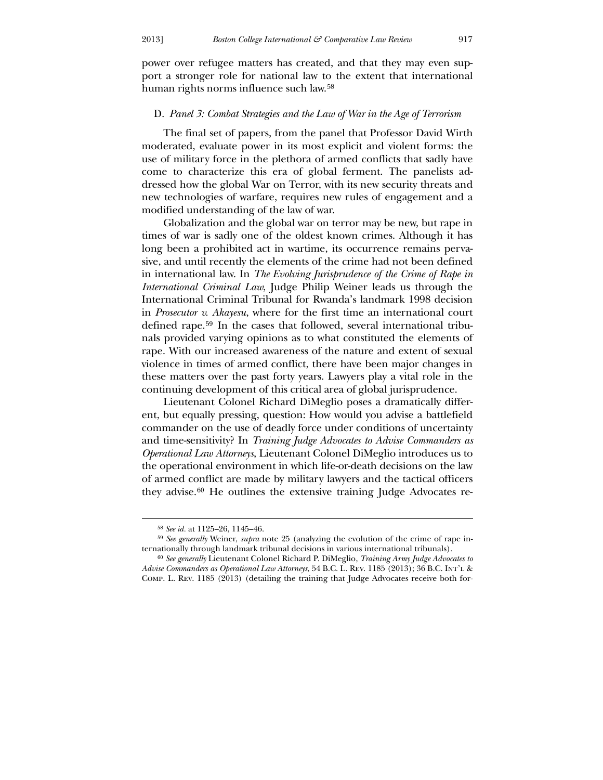power over refugee matters has created, and that they may even support a stronger role for national law to the extent that international human rights norms influence such law. [58](#page-15-0)

## D. *[Panel 3: Combat Strategies and the Law of War in the Age of Terrorism](#page-15-0)*

 [The final set of papers, from the panel that Professor David Wirth](#page-15-0)  [moderated, evaluate power in its most explicit and violent forms: the](#page-15-0)  [use of military force in the plethora of armed conflicts that sadly have](#page-15-0)  [come to characterize this era of global ferment. The panelists ad](#page-15-0)[dressed how the global War on Terror, with its new security threats and](#page-15-0)  [new technologies of warfare, requires new rules of engagement and a](#page-15-0)  [modified understanding of the law of war.](#page-15-0) 

 [Globalization and the global war on terror may be new, but rape in](#page-15-0)  [t](#page-15-0)[ime](#page-15-0)s of war is sadly one of the oldest known crimes. Although it has long been a prohibited act in wartime, its occurrence remains pervasive, and until recently the elements of the crime had not been defined in international law. In *The Evolving Jurisprudence of the Crime of Rape in International Criminal Law*, Judge Philip Weiner leads us through the International Criminal Tribunal for Rwanda's landmark 1998 decision in *Prosecutor v. Akayesu*, where for the first time an international court defined rape.[59](#page-15-1) In the cases that followed, several international tribunals provided varying opinions as to what constituted the elements of rape. With our increased awareness of the nature and extent of sexual violence in times of armed conflict, there have been major changes in these matters over the past forty years. Lawyers play a vital role in the continuing development of this critical area of global jurisprudence.

commander on the use of deadly force under conditions of uncertainty and time-sensitivity? In *Training Judge Advocates to Advise Commanders as* Operational Law Attorneys, Lieutenant Colonel DiMeglio introduces us to the operational environment in which life-or-death decisions on the law Lieutenant Colonel Richard DiMeglio poses a dramatically different, but equally pressing, question: How would you advise a battlefield of armed conflict are made by military lawyers and the tactical officers they advise.60 He outlines the extensive training Judge Advocates re-

<u>.</u>

<sup>58</sup> *See id.* at 1125–26, 1145–46.

<sup>59</sup> *See generally* Weiner, *supra* note 25 (analyzing the evolution of the crime of rape internationally through landmark tribunal decisions in various international tribunals).

<span id="page-15-1"></span><span id="page-15-0"></span><sup>60</sup> *See generally* Lieutenant Colonel Richard P. DiMeglio, *Training Army Judge Advocates to Advise Commanders as Operational Law Attorneys*, 54 B.C. L. Rev. 1185 (2013); 36 B.C. Int'l & Comp. L. Rev. 1185 (2013) (detailing the training that Judge Advocates receive both for-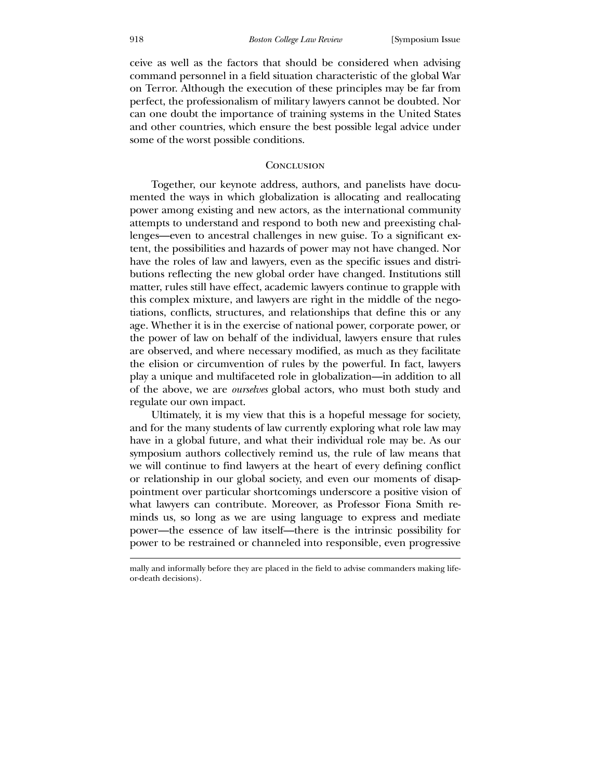ceive as well as the factors that should be considered when advising command personnel in a field situation characteristic of the global War on Terror. Although the execution of these principles may be far from perfect, the professionalism of military lawyers cannot be doubted. Nor can one doubt the importance of training systems in the United States and other countries, which ensure the best possible legal advice under some of the worst possible conditions.

## **CONCLUSION**

Together, our keynote address, authors, and panelists have documented the ways in which globalization is allocating and reallocating power among existing and new actors, as the international community attempts to understand and respond to both new and preexisting challenges—even to ancestral challenges in new guise. To a significant extent, the possibilities and hazards of power may not have changed. Nor have the roles of law and lawyers, even as the specific issues and distributions reflecting the new global order have changed. Institutions still matter, rules still have effect, academic lawyers continue to grapple with this complex mixture, and lawyers are right in the middle of the negotiations, conflicts, structures, and relationships that define this or any age. Whether it is in the exercise of national power, corporate power, or the power of law on behalf of the individual, lawyers ensure that rules are observed, and where necessary modified, as much as they facilitate the elision or circumvention of rules by the powerful. In fact, lawyers play a unique and multifaceted role in globalization—in addition to all of the above, we are *ourselves* global actors, who must both study and regulate our own impact.

 Ultimately, it is my view that this is a hopeful message for society, and for the many students of law currently exploring what role law may have in a global future, and what their individual role may be. As our symposium authors collectively remind us, the rule of law means that we will continue to find lawyers at the heart of every defining conflict or relationship in our global society, and even our moments of disappointment over particular shortcomings underscore a positive vision of what lawyers can contribute. Moreover, as Professor Fiona Smith reminds us, so long as we are using language to express and mediate power—the essence of law itself—there is the intrinsic possibility for power to be restrained or channeled into responsible, even progressive

mally and informally before they are placed in the field to advise commanders making lifeor-death decisions).